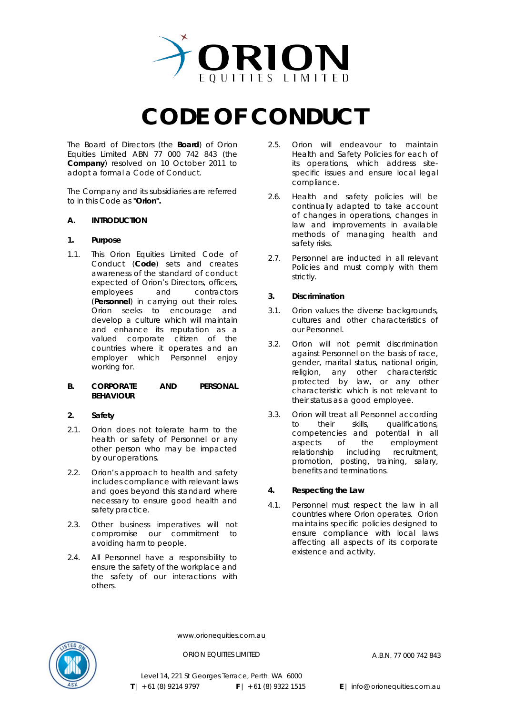

# **CODE OF CONDUCT**

The Board of Directors (the **Board**) of Orion Equities Limited ABN 77 000 742 843 (the **Company**) resolved on 10 October 2011 to adopt a formal a Code of Conduct.

The Company and its subsidiaries are referred to in this Code as **"Orion".** 

# **A. INTRODUCTION**

# **1. Purpose**

1.1. This Orion Equities Limited Code of Conduct (**Code**) sets and creates awareness of the standard of conduct expected of Orion's Directors, officers, employees and contractors (**Personnel**) in carrying out their roles. Orion seeks to encourage and develop a culture which will maintain and enhance its reputation as a valued corporate citizen of the countries where it operates and an employer which Personnel enjoy working for.

### **B. CORPORATE AND PERSONAL BEHAVIOUR**

## **2. Safety**

- 2.1. Orion does not tolerate harm to the health or safety of Personnel or any other person who may be impacted by our operations.
- 2.2. Orion's approach to health and safety includes compliance with relevant laws and goes beyond this standard where necessary to ensure good health and safety practice.
- 2.3. Other business imperatives will not compromise our commitment to avoiding harm to people.
- 2.4. All Personnel have a responsibility to ensure the safety of the workplace and the safety of our interactions with others.
- 2.5. Orion will endeavour to maintain Health and Safety Policies for each of its operations, which address sitespecific issues and ensure local legal compliance.
- 2.6. Health and safety policies will be continually adapted to take account of changes in operations, changes in law and improvements in available methods of managing health and safety risks.
- 2.7. Personnel are inducted in all relevant Policies and must comply with them strictly.

# **3. Discrimination**

- 3.1. Orion values the diverse backgrounds, cultures and other characteristics of our Personnel.
- 3.2. Orion will not permit discrimination against Personnel on the basis of race, gender, marital status, national origin, religion, any other characteristic protected by law, or any other characteristic which is not relevant to their status as a good employee.
- 3.3. Orion will treat all Personnel according to their skills, qualifications, competencies and potential in all aspects of the employment relationship including recruitment, promotion, posting, training, salary, benefits and terminations.

# **4. Respecting the Law**

4.1. Personnel must respect the law in all countries where Orion operates. Orion maintains specific policies designed to ensure compliance with local laws affecting all aspects of its corporate existence and activity.



www.orionequities.com.au

ORION EQUITIES LIMITED A.B.N. 77 000 742 843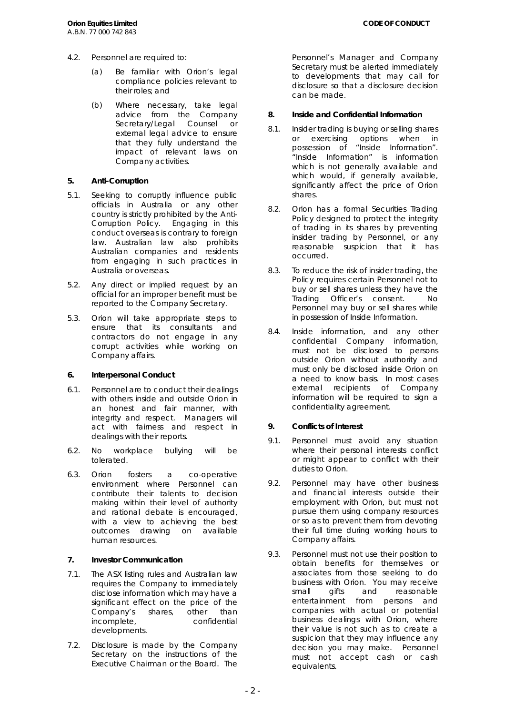- 4.2. Personnel are required to:
	- (a) Be familiar with Orion's legal compliance policies relevant to their roles; and
	- (b) Where necessary, take legal advice from the Company Secretary/Legal Counsel or external legal advice to ensure that they fully understand the impact of relevant laws on Company activities.

# **5. Anti-Corruption**

- 5.1. Seeking to corruptly influence public officials in Australia or any other country is strictly prohibited by the Anti-Corruption Policy. Engaging in this conduct overseas is contrary to foreign law. Australian law also prohibits Australian companies and residents from engaging in such practices in Australia or overseas.
- 5.2. Any direct or implied request by an official for an improper benefit must be reported to the Company Secretary.
- 5.3. Orion will take appropriate steps to ensure that its consultants and contractors do not engage in any corrupt activities while working on Company affairs.

## **6. Interpersonal Conduct**

- 6.1. Personnel are to conduct their dealings with others inside and outside Orion in an honest and fair manner, with integrity and respect. Managers will act with fairness and respect in dealings with their reports.
- 6.2. No workplace bullying will be tolerated.
- 6.3. Orion fosters a co-operative environment where Personnel can contribute their talents to decision making within their level of authority and rational debate is encouraged, with a view to achieving the best outcomes drawing on available human resources.

# **7. Investor Communication**

- 7.1. The ASX listing rules and Australian law requires the Company to immediately disclose information which may have a significant effect on the price of the Company's shares, other than incomplete, confidential developments.
- 7.2. Disclosure is made by the Company Secretary on the instructions of the Executive Chairman or the Board. The

Personnel's Manager and Company Secretary must be alerted immediately to developments that may call for disclosure so that a disclosure decision can be made.

# **8. Inside and Confidential Information**

- 8.1. Insider trading is buying or selling shares or exercising options when in possession of "Inside Information". "Inside Information" is information which is not generally available and which would, if generally available, significantly affect the price of Orion shares.
- 8.2. Orion has a formal Securities Trading Policy designed to protect the integrity of trading in its shares by preventing insider trading by Personnel, or any reasonable suspicion that it has occurred.
- 8.3. To reduce the risk of insider trading, the Policy requires certain Personnel not to buy or sell shares unless they have the Trading Officer's consent. No Personnel may buy or sell shares while in possession of Inside Information.
- 8.4. Inside information, and any other confidential Company information, must not be disclosed to persons outside Orion without authority and must only be disclosed inside Orion on a need to know basis. In most cases external recipients of Company information will be required to sign a confidentiality agreement.

# **9. Conflicts of Interest**

- 9.1. Personnel must avoid any situation where their personal interests conflict or might appear to conflict with their duties to Orion.
- 9.2. Personnel may have other business and financial interests outside their employment with Orion, but must not pursue them using company resources or so as to prevent them from devoting their full time during working hours to Company affairs.
- 9.3. Personnel must not use their position to obtain benefits for themselves or associates from those seeking to do business with Orion. You may receive small gifts and reasonable entertainment from persons and companies with actual or potential business dealings with Orion, where their value is not such as to create a suspicion that they may influence any decision you may make. Personnel must not accept cash or cash equivalents.